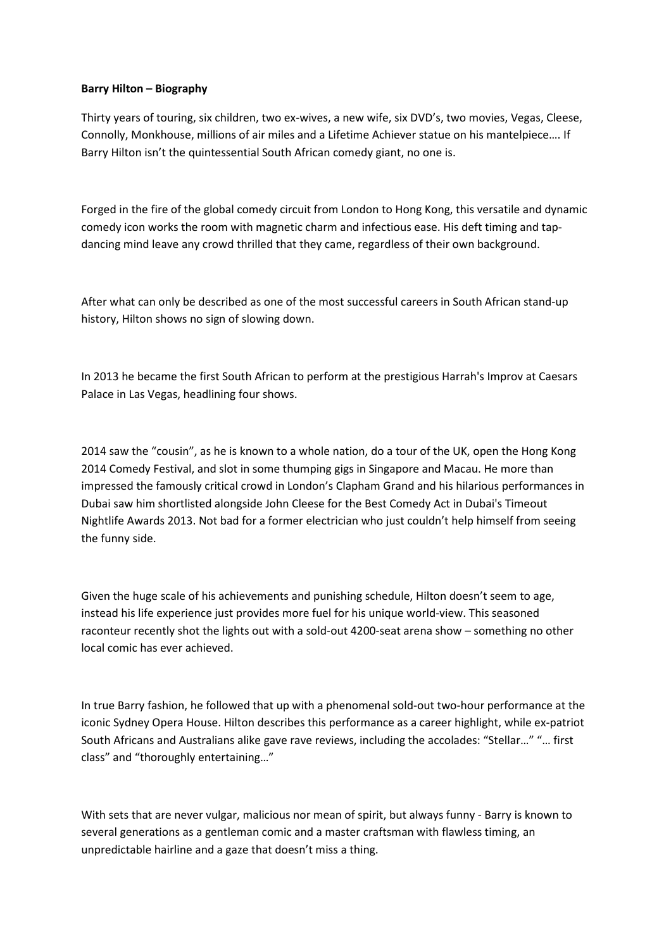## **Barry Hilton – Biography**

Thirty years of touring, six children, two ex-wives, a new wife, six DVD's, two movies, Vegas, Cleese, Connolly, Monkhouse, millions of air miles and a Lifetime Achiever statue on his mantelpiece…. If Barry Hilton isn't the quintessential South African comedy giant, no one is.

Forged in the fire of the global comedy circuit from London to Hong Kong, this versatile and dynamic comedy icon works the room with magnetic charm and infectious ease. His deft timing and tapdancing mind leave any crowd thrilled that they came, regardless of their own background.

After what can only be described as one of the most successful careers in South African stand-up history, Hilton shows no sign of slowing down.

In 2013 he became the first South African to perform at the prestigious Harrah's Improv at Caesars Palace in Las Vegas, headlining four shows.

2014 saw the "cousin", as he is known to a whole nation, do a tour of the UK, open the Hong Kong 2014 Comedy Festival, and slot in some thumping gigs in Singapore and Macau. He more than impressed the famously critical crowd in London's Clapham Grand and his hilarious performances in Dubai saw him shortlisted alongside John Cleese for the Best Comedy Act in Dubai's Timeout Nightlife Awards 2013. Not bad for a former electrician who just couldn't help himself from seeing the funny side.

Given the huge scale of his achievements and punishing schedule, Hilton doesn't seem to age, instead his life experience just provides more fuel for his unique world-view. This seasoned raconteur recently shot the lights out with a sold-out 4200-seat arena show – something no other local comic has ever achieved.

In true Barry fashion, he followed that up with a phenomenal sold-out two-hour performance at the iconic Sydney Opera House. Hilton describes this performance as a career highlight, while ex-patriot South Africans and Australians alike gave rave reviews, including the accolades: "Stellar…" "… first class" and "thoroughly entertaining…"

With sets that are never vulgar, malicious nor mean of spirit, but always funny - Barry is known to several generations as a gentleman comic and a master craftsman with flawless timing, an unpredictable hairline and a gaze that doesn't miss a thing.